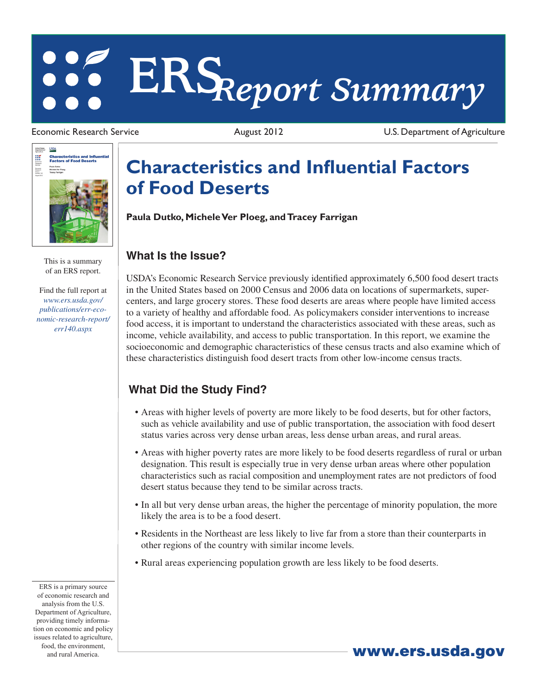# **ERS***Report Summary*

**USDA** United States<br>Department of  $\mathbf{m}$ **Characteristics and Influ<br>Factors of Food Deserts** Economic<br>Research<br>Rumber 140<br>Number 140

> This is a summary of an ERS report.

Find the full report at *www.ers.usda.gov/ publications/err-eco[nomic-research-report/](/publications/err-economic-research-report/err140.aspx) err140.aspx*

Economic Research Service **August 2012** August 2012 U.S. Department of Agriculture

## **Characteristics and Influential Factors of Food Deserts**

**Paula Dutko, Michele Ver Ploeg, and Tracey Farrigan**

#### **What Is the Issue?**

USDA's Economic Research Service previously identified approximately 6,500 food desert tracts in the United States based on 2000 Census and 2006 data on locations of supermarkets, supercenters, and large grocery stores. These food deserts are areas where people have limited access to a variety of healthy and affordable food. As policymakers consider interventions to increase food access, it is important to understand the characteristics associated with these areas, such as income, vehicle availability, and access to public transportation. In this report, we examine the socioeconomic and demographic characteristics of these census tracts and also examine which of these characteristics distinguish food desert tracts from other low-income census tracts.

### **What Did the Study Find?**

- • Areas with higher levels of poverty are more likely to be food deserts, but for other factors, such as vehicle availability and use of public transportation, the association with food desert status varies across very dense urban areas, less dense urban areas, and rural areas.
- • Areas with higher poverty rates are more likely to be food deserts regardless of rural or urban designation. This result is especially true in very dense urban areas where other population characteristics such as racial composition and unemployment rates are not predictors of food desert status because they tend to be similar across tracts.
- In all but very dense urban areas, the higher the percentage of minority population, the more likely the area is to be a food desert.
- • Residents in the Northeast are less likely to live far from a store than their counterparts in other regions of the country with similar income levels.
- Rural areas experiencing population growth are less likely to be food deserts.

ERS is a primary source of economic research and analysis from the U.S. Department of Agriculture, providing timely information on economic and policy issues related to agriculture, food, the environment, and rural America. Www.ers.usda.gov